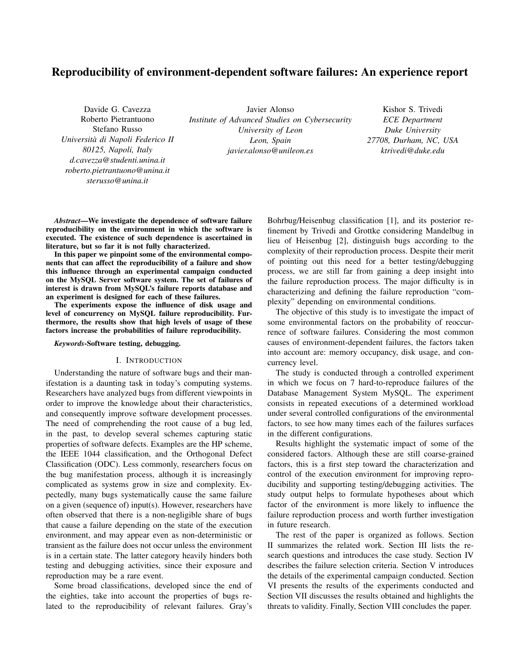# Reproducibility of environment-dependent software failures: An experience report

Davide G. Cavezza Roberto Pietrantuono Stefano Russo *Universita di Napoli Federico II ` 80125, Napoli, Italy d.cavezza@studenti.unina.it roberto.pietrantuono@unina.it sterusso@unina.it*

Javier Alonso *Institute of Advanced Studies on Cybersecurity University of Leon Leon, Spain javier.alonso@unileon.es*

Kishor S. Trivedi *ECE Department Duke University 27708, Durham, NC, USA ktrivedi@duke.edu*

*Abstract*—We investigate the dependence of software failure reproducibility on the environment in which the software is executed. The existence of such dependence is ascertained in literature, but so far it is not fully characterized.

In this paper we pinpoint some of the environmental components that can affect the reproducibility of a failure and show this influence through an experimental campaign conducted on the MySQL Server software system. The set of failures of interest is drawn from MySQL's failure reports database and an experiment is designed for each of these failures.

The experiments expose the influence of disk usage and level of concurrency on MySQL failure reproducibility. Furthermore, the results show that high levels of usage of these factors increase the probabilities of failure reproducibility.

## *Keywords*-Software testing, debugging.

# I. INTRODUCTION

Understanding the nature of software bugs and their manifestation is a daunting task in today's computing systems. Researchers have analyzed bugs from different viewpoints in order to improve the knowledge about their characteristics, and consequently improve software development processes. The need of comprehending the root cause of a bug led, in the past, to develop several schemes capturing static properties of software defects. Examples are the HP scheme, the IEEE 1044 classification, and the Orthogonal Defect Classification (ODC). Less commonly, researchers focus on the bug manifestation process, although it is increasingly complicated as systems grow in size and complexity. Expectedly, many bugs systematically cause the same failure on a given (sequence of) input(s). However, researchers have often observed that there is a non-negligible share of bugs that cause a failure depending on the state of the execution environment, and may appear even as non-deterministic or transient as the failure does not occur unless the environment is in a certain state. The latter category heavily hinders both testing and debugging activities, since their exposure and reproduction may be a rare event.

Some broad classifications, developed since the end of the eighties, take into account the properties of bugs related to the reproducibility of relevant failures. Gray's Bohrbug/Heisenbug classification [1], and its posterior refinement by Trivedi and Grottke considering Mandelbug in lieu of Heisenbug [2], distinguish bugs according to the complexity of their reproduction process. Despite their merit of pointing out this need for a better testing/debugging process, we are still far from gaining a deep insight into the failure reproduction process. The major difficulty is in characterizing and defining the failure reproduction "complexity" depending on environmental conditions.

The objective of this study is to investigate the impact of some environmental factors on the probability of reoccurrence of software failures. Considering the most common causes of environment-dependent failures, the factors taken into account are: memory occupancy, disk usage, and concurrency level.

The study is conducted through a controlled experiment in which we focus on 7 hard-to-reproduce failures of the Database Management System MySQL. The experiment consists in repeated executions of a determined workload under several controlled configurations of the environmental factors, to see how many times each of the failures surfaces in the different configurations.

Results highlight the systematic impact of some of the considered factors. Although these are still coarse-grained factors, this is a first step toward the characterization and control of the execution environment for improving reproducibility and supporting testing/debugging activities. The study output helps to formulate hypotheses about which factor of the environment is more likely to influence the failure reproduction process and worth further investigation in future research.

The rest of the paper is organized as follows. Section II summarizes the related work. Section III lists the research questions and introduces the case study. Section IV describes the failure selection criteria. Section V introduces the details of the experimental campaign conducted. Section VI presents the results of the experiments conducted and Section VII discusses the results obtained and highlights the threats to validity. Finally, Section VIII concludes the paper.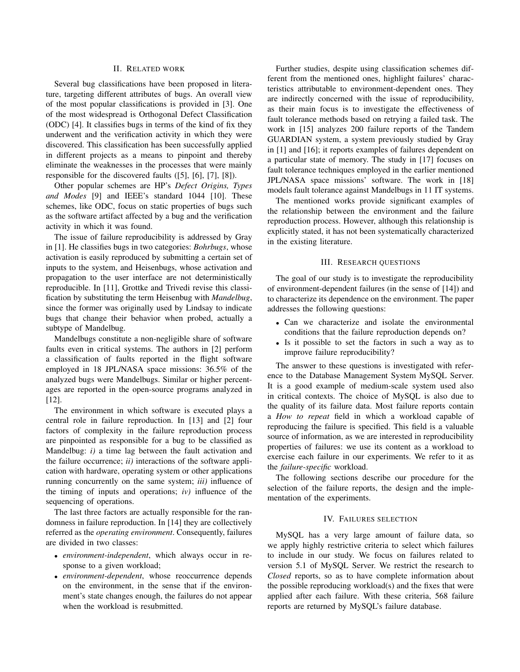# II. RELATED WORK

Several bug classifications have been proposed in literature, targeting different attributes of bugs. An overall view of the most popular classifications is provided in [3]. One of the most widespread is Orthogonal Defect Classification (ODC) [4]. It classifies bugs in terms of the kind of fix they underwent and the verification activity in which they were discovered. This classification has been successfully applied in different projects as a means to pinpoint and thereby eliminate the weaknesses in the processes that were mainly responsible for the discovered faults ([5], [6], [7], [8]).

Other popular schemes are HP's *Defect Origins, Types and Modes* [9] and IEEE's standard 1044 [10]. These schemes, like ODC, focus on static properties of bugs such as the software artifact affected by a bug and the verification activity in which it was found.

The issue of failure reproducibility is addressed by Gray in [1]. He classifies bugs in two categories: *Bohrbugs*, whose activation is easily reproduced by submitting a certain set of inputs to the system, and Heisenbugs, whose activation and propagation to the user interface are not deterministically reproducible. In [11], Grottke and Trivedi revise this classification by substituting the term Heisenbug with *Mandelbug*, since the former was originally used by Lindsay to indicate bugs that change their behavior when probed, actually a subtype of Mandelbug.

Mandelbugs constitute a non-negligible share of software faults even in critical systems. The authors in [2] perform a classification of faults reported in the flight software employed in 18 JPL/NASA space missions: 36.5% of the analyzed bugs were Mandelbugs. Similar or higher percentages are reported in the open-source programs analyzed in [12].

The environment in which software is executed plays a central role in failure reproduction. In [13] and [2] four factors of complexity in the failure reproduction process are pinpointed as responsible for a bug to be classified as Mandelbug: *i)* a time lag between the fault activation and the failure occurrence; *ii)* interactions of the software application with hardware, operating system or other applications running concurrently on the same system; *iii)* influence of the timing of inputs and operations; *iv)* influence of the sequencing of operations.

The last three factors are actually responsible for the randomness in failure reproduction. In [14] they are collectively referred as the *operating environment*. Consequently, failures are divided in two classes:

- *environment-independent*, which always occur in response to a given workload;
- *environment-dependent*, whose reoccurrence depends on the environment, in the sense that if the environment's state changes enough, the failures do not appear when the workload is resubmitted.

Further studies, despite using classification schemes different from the mentioned ones, highlight failures' characteristics attributable to environment-dependent ones. They are indirectly concerned with the issue of reproducibility, as their main focus is to investigate the effectiveness of fault tolerance methods based on retrying a failed task. The work in [15] analyzes 200 failure reports of the Tandem GUARDIAN system, a system previously studied by Gray in [1] and [16]; it reports examples of failures dependent on a particular state of memory. The study in [17] focuses on fault tolerance techniques employed in the earlier mentioned JPL/NASA space missions' software. The work in [18] models fault tolerance against Mandelbugs in 11 IT systems.

The mentioned works provide significant examples of the relationship between the environment and the failure reproduction process. However, although this relationship is explicitly stated, it has not been systematically characterized in the existing literature.

## III. RESEARCH QUESTIONS

The goal of our study is to investigate the reproducibility of environment-dependent failures (in the sense of [14]) and to characterize its dependence on the environment. The paper addresses the following questions:

- Can we characterize and isolate the environmental conditions that the failure reproduction depends on?
- Is it possible to set the factors in such a way as to improve failure reproducibility?

The answer to these questions is investigated with reference to the Database Management System MySQL Server. It is a good example of medium-scale system used also in critical contexts. The choice of MySQL is also due to the quality of its failure data. Most failure reports contain a *How to repeat* field in which a workload capable of reproducing the failure is specified. This field is a valuable source of information, as we are interested in reproducibility properties of failures: we use its content as a workload to exercise each failure in our experiments. We refer to it as the *failure-specific* workload.

The following sections describe our procedure for the selection of the failure reports, the design and the implementation of the experiments.

#### IV. FAILURES SELECTION

MySQL has a very large amount of failure data, so we apply highly restrictive criteria to select which failures to include in our study. We focus on failures related to version 5.1 of MySQL Server. We restrict the research to *Closed* reports, so as to have complete information about the possible reproducing workload(s) and the fixes that were applied after each failure. With these criteria, 568 failure reports are returned by MySQL's failure database.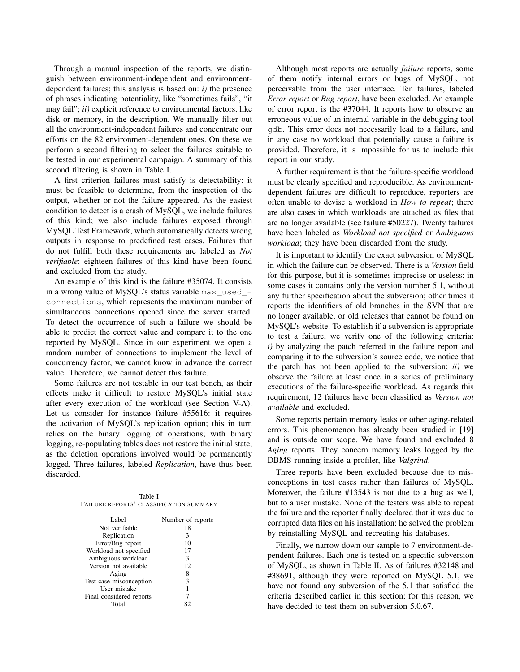Through a manual inspection of the reports, we distinguish between environment-independent and environmentdependent failures; this analysis is based on: *i)* the presence of phrases indicating potentiality, like "sometimes fails", "it may fail"; *ii)* explicit reference to environmental factors, like disk or memory, in the description. We manually filter out all the environment-independent failures and concentrate our efforts on the 82 environment-dependent ones. On these we perform a second filtering to select the failures suitable to be tested in our experimental campaign. A summary of this second filtering is shown in Table I.

A first criterion failures must satisfy is detectability: it must be feasible to determine, from the inspection of the output, whether or not the failure appeared. As the easiest condition to detect is a crash of MySQL, we include failures of this kind; we also include failures exposed through MySQL Test Framework, which automatically detects wrong outputs in response to predefined test cases. Failures that do not fulfill both these requirements are labeled as *Not verifiable*: eighteen failures of this kind have been found and excluded from the study.

An example of this kind is the failure #35074. It consists in a wrong value of MySQL's status variable max\_used\_ connections, which represents the maximum number of simultaneous connections opened since the server started. To detect the occurrence of such a failure we should be able to predict the correct value and compare it to the one reported by MySQL. Since in our experiment we open a random number of connections to implement the level of concurrency factor, we cannot know in advance the correct value. Therefore, we cannot detect this failure.

Some failures are not testable in our test bench, as their effects make it difficult to restore MySQL's initial state after every execution of the workload (see Section V-A). Let us consider for instance failure #55616: it requires the activation of MySQL's replication option; this in turn relies on the binary logging of operations; with binary logging, re-populating tables does not restore the initial state, as the deletion operations involved would be permanently logged. Three failures, labeled *Replication*, have thus been discarded.

Table I FAILURE REPORTS' CLASSIFICATION SUMMARY

| Label                    | Number of reports |
|--------------------------|-------------------|
| Not verifiable           | 18                |
| Replication              | 3                 |
| Error/Bug report         | 10                |
| Workload not specified   | 17                |
| Ambiguous workload       | 3                 |
| Version not available    | 12                |
| Aging                    | 8                 |
| Test case misconception  | 3                 |
| User mistake             |                   |
| Final considered reports |                   |
| Total                    |                   |

Although most reports are actually *failure* reports, some of them notify internal errors or bugs of MySQL, not perceivable from the user interface. Ten failures, labeled *Error report* or *Bug report*, have been excluded. An example of error report is the #37044. It reports how to observe an erroneous value of an internal variable in the debugging tool gdb. This error does not necessarily lead to a failure, and in any case no workload that potentially cause a failure is provided. Therefore, it is impossible for us to include this report in our study.

A further requirement is that the failure-specific workload must be clearly specified and reproducible. As environmentdependent failures are difficult to reproduce, reporters are often unable to devise a workload in *How to repeat*; there are also cases in which workloads are attached as files that are no longer available (see failure #50227). Twenty failures have been labeled as *Workload not specified* or *Ambiguous workload*; they have been discarded from the study.

It is important to identify the exact subversion of MySQL in which the failure can be observed. There is a *Version* field for this purpose, but it is sometimes imprecise or useless: in some cases it contains only the version number 5.1, without any further specification about the subversion; other times it reports the identifiers of old branches in the SVN that are no longer available, or old releases that cannot be found on MySQL's website. To establish if a subversion is appropriate to test a failure, we verify one of the following criteria: *i)* by analyzing the patch referred in the failure report and comparing it to the subversion's source code, we notice that the patch has not been applied to the subversion; *ii)* we observe the failure at least once in a series of preliminary executions of the failure-specific workload. As regards this requirement, 12 failures have been classified as *Version not available* and excluded.

Some reports pertain memory leaks or other aging-related errors. This phenomenon has already been studied in [19] and is outside our scope. We have found and excluded 8 *Aging* reports. They concern memory leaks logged by the DBMS running inside a profiler, like *Valgrind*.

Three reports have been excluded because due to misconceptions in test cases rather than failures of MySQL. Moreover, the failure #13543 is not due to a bug as well, but to a user mistake. None of the testers was able to repeat the failure and the reporter finally declared that it was due to corrupted data files on his installation: he solved the problem by reinstalling MySQL and recreating his databases.

Finally, we narrow down our sample to 7 environment-dependent failures. Each one is tested on a specific subversion of MySQL, as shown in Table II. As of failures #32148 and #38691, although they were reported on MySQL 5.1, we have not found any subversion of the 5.1 that satisfied the criteria described earlier in this section; for this reason, we have decided to test them on subversion 5.0.67.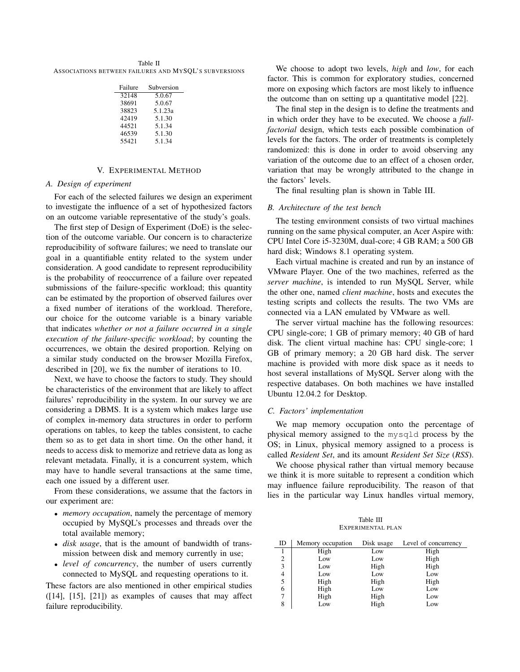Table II ASSOCIATIONS BETWEEN FAILURES AND MYSQL'S SUBVERSIONS

| Failure | Subversion |
|---------|------------|
| 32148   | 5.0.67     |
| 38691   | 5.0.67     |
| 38823   | 5.1.23a    |
| 42419   | 5.1.30     |
| 44521   | 5.1.34     |
| 46539   | 5.1.30     |
| 55421   | 5.1.34     |

# V. EXPERIMENTAL METHOD

## *A. Design of experiment*

For each of the selected failures we design an experiment to investigate the influence of a set of hypothesized factors on an outcome variable representative of the study's goals.

The first step of Design of Experiment (DoE) is the selection of the outcome variable. Our concern is to characterize reproducibility of software failures; we need to translate our goal in a quantifiable entity related to the system under consideration. A good candidate to represent reproducibility is the probability of reoccurrence of a failure over repeated submissions of the failure-specific workload; this quantity can be estimated by the proportion of observed failures over a fixed number of iterations of the workload. Therefore, our choice for the outcome variable is a binary variable that indicates *whether or not a failure occurred in a single execution of the failure-specific workload*; by counting the occurrences, we obtain the desired proportion. Relying on a similar study conducted on the browser Mozilla Firefox, described in [20], we fix the number of iterations to 10.

Next, we have to choose the factors to study. They should be characteristics of the environment that are likely to affect failures' reproducibility in the system. In our survey we are considering a DBMS. It is a system which makes large use of complex in-memory data structures in order to perform operations on tables, to keep the tables consistent, to cache them so as to get data in short time. On the other hand, it needs to access disk to memorize and retrieve data as long as relevant metadata. Finally, it is a concurrent system, which may have to handle several transactions at the same time, each one issued by a different user.

From these considerations, we assume that the factors in our experiment are:

- *memory occupation*, namely the percentage of memory occupied by MySQL's processes and threads over the total available memory;
- *disk usage*, that is the amount of bandwidth of transmission between disk and memory currently in use;
- *level of concurrency*, the number of users currently connected to MySQL and requesting operations to it.

These factors are also mentioned in other empirical studies  $([14], [15], [21])$  as examples of causes that may affect failure reproducibility.

We choose to adopt two levels, *high* and *low*, for each factor. This is common for exploratory studies, concerned more on exposing which factors are most likely to influence the outcome than on setting up a quantitative model [22].

The final step in the design is to define the treatments and in which order they have to be executed. We choose a *fullfactorial* design, which tests each possible combination of levels for the factors. The order of treatments is completely randomized: this is done in order to avoid observing any variation of the outcome due to an effect of a chosen order, variation that may be wrongly attributed to the change in the factors' levels.

The final resulting plan is shown in Table III.

#### *B. Architecture of the test bench*

The testing environment consists of two virtual machines running on the same physical computer, an Acer Aspire with: CPU Intel Core i5-3230M, dual-core; 4 GB RAM; a 500 GB hard disk; Windows 8.1 operating system.

Each virtual machine is created and run by an instance of VMware Player. One of the two machines, referred as the *server machine*, is intended to run MySQL Server, while the other one, named *client machine*, hosts and executes the testing scripts and collects the results. The two VMs are connected via a LAN emulated by VMware as well.

The server virtual machine has the following resources: CPU single-core; 1 GB of primary memory; 40 GB of hard disk. The client virtual machine has: CPU single-core; 1 GB of primary memory; a 20 GB hard disk. The server machine is provided with more disk space as it needs to host several installations of MySQL Server along with the respective databases. On both machines we have installed Ubuntu 12.04.2 for Desktop.

### *C. Factors' implementation*

We map memory occupation onto the percentage of physical memory assigned to the mysqld process by the OS; in Linux, physical memory assigned to a process is called *Resident Set*, and its amount *Resident Set Size* (*RSS*).

We choose physical rather than virtual memory because we think it is more suitable to represent a condition which may influence failure reproducibility. The reason of that lies in the particular way Linux handles virtual memory,

Table III EXPERIMENTAL PLAN

| ID | Memory occupation | Disk usage | Level of concurrency |
|----|-------------------|------------|----------------------|
|    | High              | Low        | High                 |
| 2  | Low               | Low        | High                 |
| 3  | Low               | High       | High                 |
| 4  | Low               | Low        | Low                  |
| 5  | High              | High       | High                 |
| 6  | High              | Low        | Low                  |
|    | High              | High       | Low                  |
| 8  | Low               | High       | Low                  |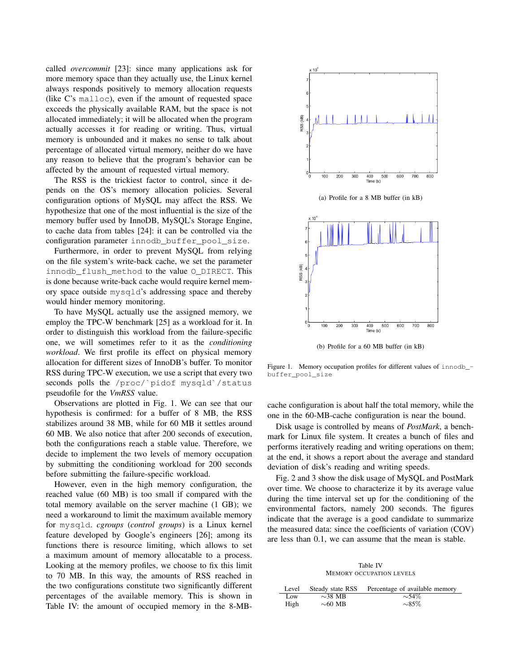called *overcommit* [23]: since many applications ask for more memory space than they actually use, the Linux kernel always responds positively to memory allocation requests (like C's malloc), even if the amount of requested space exceeds the physically available RAM, but the space is not allocated immediately; it will be allocated when the program actually accesses it for reading or writing. Thus, virtual memory is unbounded and it makes no sense to talk about percentage of allocated virtual memory, neither do we have any reason to believe that the program's behavior can be affected by the amount of requested virtual memory.

The RSS is the trickiest factor to control, since it depends on the OS's memory allocation policies. Several configuration options of MySQL may affect the RSS. We hypothesize that one of the most influential is the size of the memory buffer used by InnoDB, MySQL's Storage Engine, to cache data from tables [24]: it can be controlled via the configuration parameter innodb\_buffer\_pool\_size.

Furthermore, in order to prevent MySQL from relying on the file system's write-back cache, we set the parameter innodb\_flush\_method to the value O\_DIRECT. This is done because write-back cache would require kernel memory space outside mysqld's addressing space and thereby would hinder memory monitoring.

To have MySQL actually use the assigned memory, we employ the TPC-W benchmark [25] as a workload for it. In order to distinguish this workload from the failure-specific one, we will sometimes refer to it as the *conditioning workload*. We first profile its effect on physical memory allocation for different sizes of InnoDB's buffer. To monitor RSS during TPC-W execution, we use a script that every two seconds polls the /proc/`pidof mysqld`/status pseudofile for the *VmRSS* value.

Observations are plotted in Fig. 1. We can see that our hypothesis is confirmed: for a buffer of 8 MB, the RSS stabilizes around 38 MB, while for 60 MB it settles around 60 MB. We also notice that after 200 seconds of execution, both the configurations reach a stable value. Therefore, we decide to implement the two levels of memory occupation by submitting the conditioning workload for 200 seconds before submitting the failure-specific workload.

However, even in the high memory configuration, the reached value (60 MB) is too small if compared with the total memory available on the server machine (1 GB); we need a workaround to limit the maximum available memory for mysqld. *cgroups* (*control groups*) is a Linux kernel feature developed by Google's engineers [26]; among its functions there is resource limiting, which allows to set a maximum amount of memory allocatable to a process. Looking at the memory profiles, we choose to fix this limit to 70 MB. In this way, the amounts of RSS reached in the two configurations constitute two significantly different percentages of the available memory. This is shown in Table IV: the amount of occupied memory in the 8-MB-



(b) Profile for a 60 MB buffer (in kB)

Figure 1. Memory occupation profiles for different values of innodb\_ buffer\_pool\_size

cache configuration is about half the total memory, while the one in the 60-MB-cache configuration is near the bound.

Disk usage is controlled by means of *PostMark*, a benchmark for Linux file system. It creates a bunch of files and performs iteratively reading and writing operations on them; at the end, it shows a report about the average and standard deviation of disk's reading and writing speeds.

Fig. 2 and 3 show the disk usage of MySQL and PostMark over time. We choose to characterize it by its average value during the time interval set up for the conditioning of the environmental factors, namely 200 seconds. The figures indicate that the average is a good candidate to summarize the measured data: since the coefficients of variation (COV) are less than 0.1, we can assume that the mean is stable.

Table IV MEMORY OCCUPATION LEVELS

| Level | Steady state RSS | Percentage of available memory |
|-------|------------------|--------------------------------|
| Low   | $\sim$ 38 MB     | $\sim$ 54%                     |
| High  | $\sim$ 60 MB     | $\sim$ 85%                     |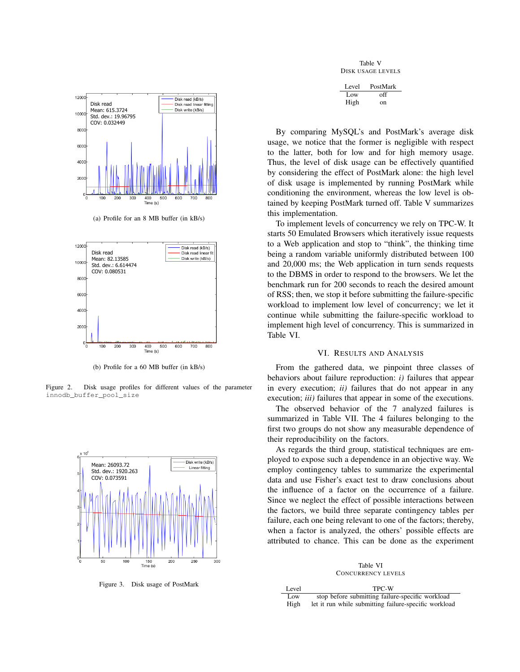

(a) Profile for an 8 MB buffer (in kB/s)



(b) Profile for a 60 MB buffer (in kB/s)

Figure 2. Disk usage profiles for different values of the parameter innodb\_buffer\_pool\_size



Figure 3. Disk usage of PostMark

Table V DISK USAGE LEVELS

| Level | PostMark |
|-------|----------|
| Low   | off      |
| High  | on       |

By comparing MySQL's and PostMark's average disk usage, we notice that the former is negligible with respect to the latter, both for low and for high memory usage. Thus, the level of disk usage can be effectively quantified by considering the effect of PostMark alone: the high level of disk usage is implemented by running PostMark while conditioning the environment, whereas the low level is obtained by keeping PostMark turned off. Table V summarizes this implementation.

To implement levels of concurrency we rely on TPC-W. It starts 50 Emulated Browsers which iteratively issue requests to a Web application and stop to "think", the thinking time being a random variable uniformly distributed between 100 and 20,000 ms; the Web application in turn sends requests to the DBMS in order to respond to the browsers. We let the benchmark run for 200 seconds to reach the desired amount of RSS; then, we stop it before submitting the failure-specific workload to implement low level of concurrency; we let it continue while submitting the failure-specific workload to implement high level of concurrency. This is summarized in Table VI.

#### VI. RESULTS AND ANALYSIS

From the gathered data, we pinpoint three classes of behaviors about failure reproduction: *i)* failures that appear in every execution; *ii)* failures that do not appear in any execution; *iii)* failures that appear in some of the executions.

The observed behavior of the 7 analyzed failures is summarized in Table VII. The 4 failures belonging to the first two groups do not show any measurable dependence of their reproducibility on the factors.

As regards the third group, statistical techniques are employed to expose such a dependence in an objective way. We employ contingency tables to summarize the experimental data and use Fisher's exact test to draw conclusions about the influence of a factor on the occurrence of a failure. Since we neglect the effect of possible interactions between the factors, we build three separate contingency tables per failure, each one being relevant to one of the factors; thereby, when a factor is analyzed, the others' possible effects are attributed to chance. This can be done as the experiment

Table VI CONCURRENCY LEVELS

| Level | TPC-W                                                 |
|-------|-------------------------------------------------------|
| Low   | stop before submitting failure-specific workload      |
| High  | let it run while submitting failure-specific workload |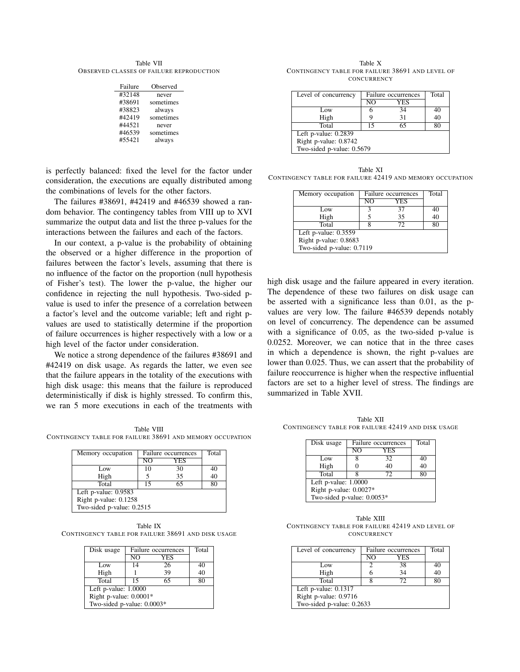Table VII OBSERVED CLASSES OF FAILURE REPRODUCTION

| Failure | Observed  |
|---------|-----------|
| #32148  | never     |
| #38691  | sometimes |
| #38823  | always    |
| #42419  | sometimes |
| #44521  | never     |
| #46539  | sometimes |
| #55421  | always    |

is perfectly balanced: fixed the level for the factor under consideration, the executions are equally distributed among the combinations of levels for the other factors.

The failures #38691, #42419 and #46539 showed a random behavior. The contingency tables from VIII up to XVI summarize the output data and list the three p-values for the interactions between the failures and each of the factors.

In our context, a p-value is the probability of obtaining the observed or a higher difference in the proportion of failures between the factor's levels, assuming that there is no influence of the factor on the proportion (null hypothesis of Fisher's test). The lower the p-value, the higher our confidence in rejecting the null hypothesis. Two-sided pvalue is used to infer the presence of a correlation between a factor's level and the outcome variable; left and right pvalues are used to statistically determine if the proportion of failure occurrences is higher respectively with a low or a high level of the factor under consideration.

We notice a strong dependence of the failures #38691 and #42419 on disk usage. As regards the latter, we even see that the failure appears in the totality of the executions with high disk usage: this means that the failure is reproduced deterministically if disk is highly stressed. To confirm this, we ran 5 more executions in each of the treatments with

Table VIII CONTINGENCY TABLE FOR FAILURE 38691 AND MEMORY OCCUPATION

| Memory occupation         | Failure occurrences |     | Total |  |
|---------------------------|---------------------|-----|-------|--|
|                           | NΟ                  | YES |       |  |
| Low                       | 10                  | 30  | 40    |  |
| High                      |                     | 35  | 40    |  |
| Total                     | 15                  | 65  | 80    |  |
| Left p-value: $0.9583$    |                     |     |       |  |
| Right p-value: 0.1258     |                     |     |       |  |
| Two-sided p-value: 0.2515 |                     |     |       |  |

Table IX CONTINGENCY TABLE FOR FAILURE 38691 AND DISK USAGE

| Disk usage                   | Failure occurrences |     | Total |  |
|------------------------------|---------------------|-----|-------|--|
|                              | NO                  | YES |       |  |
| Low                          | 14                  | 26  | 40    |  |
| High                         |                     | 39  | 40    |  |
| Total                        | 15                  | 65  | 80    |  |
| Left p-value: $1.0000$       |                     |     |       |  |
| Right p-value: $0.0001*$     |                     |     |       |  |
| Two-sided p-value: $0.0003*$ |                     |     |       |  |

Table X CONTINGENCY TABLE FOR FAILURE 38691 AND LEVEL OF **CONCURRENCY** 

| Level of concurrency      | Failure occurrences |     | Total |  |
|---------------------------|---------------------|-----|-------|--|
|                           | $\overline{N}$      | YES |       |  |
| Low                       |                     | 34  | 40    |  |
| High                      |                     | 31  | 40    |  |
| Total                     | 15                  | 65  | 80    |  |
| Left p-value: $0.2839$    |                     |     |       |  |
| Right p-value: 0.8742     |                     |     |       |  |
| Two-sided p-value: 0.5679 |                     |     |       |  |

Table XI CONTINGENCY TABLE FOR FAILURE 42419 AND MEMORY OCCUPATION

| Memory occupation         | Failure occurrences |            | Total |  |
|---------------------------|---------------------|------------|-------|--|
|                           | NΩ                  | <b>YES</b> |       |  |
| Low                       | 2                   | 37         | 40    |  |
| High                      |                     | 35         | 40    |  |
| Total                     |                     | 72         | 80    |  |
| Left p-value: $0.3559$    |                     |            |       |  |
| Right p-value: 0.8683     |                     |            |       |  |
| Two-sided p-value: 0.7119 |                     |            |       |  |

high disk usage and the failure appeared in every iteration. The dependence of these two failures on disk usage can be asserted with a significance less than 0.01, as the pvalues are very low. The failure #46539 depends notably on level of concurrency. The dependence can be assumed with a significance of 0.05, as the two-sided p-value is 0.0252. Moreover, we can notice that in the three cases in which a dependence is shown, the right p-values are lower than 0.025. Thus, we can assert that the probability of failure reoccurrence is higher when the respective influential factors are set to a higher level of stress. The findings are summarized in Table XVII.

Table XII CONTINGENCY TABLE FOR FAILURE 42419 AND DISK USAGE

| Disk usage                   | Failure occurrences | Total      |    |  |
|------------------------------|---------------------|------------|----|--|
|                              | $\overline{NO}$     | <b>YES</b> |    |  |
| Low                          | 8                   | 32         | 40 |  |
| High                         |                     | 40         | 40 |  |
| Total                        |                     | 72         | 80 |  |
| Left p-value: $1.0000$       |                     |            |    |  |
| Right p-value: $0.0027*$     |                     |            |    |  |
| Two-sided p-value: $0.0053*$ |                     |            |    |  |

Table XIII CONTINGENCY TABLE FOR FAILURE 42419 AND LEVEL OF **CONCURRENCY** 

| Level of concurrency      | Failure occurrences |     | Total |
|---------------------------|---------------------|-----|-------|
|                           | NO                  | YES |       |
| Low                       | 2                   | 38  | 40    |
| High                      | 6                   | 34  | 40    |
| Total                     |                     | 72  | 80    |
| Left p-value: $0.1317$    |                     |     |       |
| Right p-value: 0.9716     |                     |     |       |
| Two-sided p-value: 0.2633 |                     |     |       |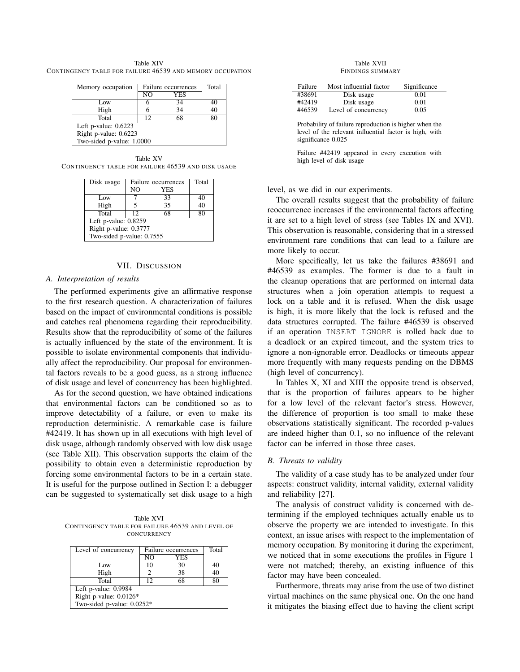Table XIV CONTINGENCY TABLE FOR FAILURE 46539 AND MEMORY OCCUPATION

| Memory occupation         | Failure occurrences |     | Total |
|---------------------------|---------------------|-----|-------|
|                           | $\overline{N}$      | YES |       |
| Low                       | 6                   | 34  | 40    |
| High                      | 6                   | 34  | 40    |
| Total                     | 12                  | 68  | 80    |
| Left p-value: $0.6223$    |                     |     |       |
| Right p-value: 0.6223     |                     |     |       |
| Two-sided p-value: 1.0000 |                     |     |       |

Table XV CONTINGENCY TABLE FOR FAILURE 46539 AND DISK USAGE

| Disk usage                | Failure occurrences |            | Total |
|---------------------------|---------------------|------------|-------|
|                           | NO                  | <b>YES</b> |       |
| Low                       |                     | 33         | 40    |
| High                      | 5                   | 35         | 40    |
| Total                     | 12                  | 68         | 80    |
| Left p-value: $0.8259$    |                     |            |       |
| Right p-value: 0.3777     |                     |            |       |
| Two-sided p-value: 0.7555 |                     |            |       |

# VII. DISCUSSION

# *A. Interpretation of results*

The performed experiments give an affirmative response to the first research question. A characterization of failures based on the impact of environmental conditions is possible and catches real phenomena regarding their reproducibility. Results show that the reproducibility of some of the failures is actually influenced by the state of the environment. It is possible to isolate environmental components that individually affect the reproducibility. Our proposal for environmental factors reveals to be a good guess, as a strong influence of disk usage and level of concurrency has been highlighted.

As for the second question, we have obtained indications that environmental factors can be conditioned so as to improve detectability of a failure, or even to make its reproduction deterministic. A remarkable case is failure #42419. It has shown up in all executions with high level of disk usage, although randomly observed with low disk usage (see Table XII). This observation supports the claim of the possibility to obtain even a deterministic reproduction by forcing some environmental factors to be in a certain state. It is useful for the purpose outlined in Section I: a debugger can be suggested to systematically set disk usage to a high

Table XVI CONTINGENCY TABLE FOR FAILURE 46539 AND LEVEL OF **CONCURRENCY** 

| Level of concurrency         | Failure occurrences |     | Total |
|------------------------------|---------------------|-----|-------|
|                              | N <sub>O</sub>      | YES |       |
| Low                          | 10                  | 30  | 40    |
| High                         | 2                   | 38  | 40    |
| Total                        | 12.                 | 68  | 80    |
| Left p-value: 0.9984         |                     |     |       |
| Right p-value: $0.0126*$     |                     |     |       |
| Two-sided p-value: $0.0252*$ |                     |     |       |

Table XVII FINDINGS SUMMARY

| Failure | Most influential factor | Significance |
|---------|-------------------------|--------------|
| #38691  | Disk usage              | 0.01         |
| #42419  | Disk usage              | 0.01         |
| #46539  | Level of concurrency    | 0.05         |

Probability of failure reproduction is higher when the level of the relevant influential factor is high, with significance  $0.025$ 

Failure #42419 appeared in every execution with high level of disk usage

level, as we did in our experiments.

The overall results suggest that the probability of failure reoccurrence increases if the environmental factors affecting it are set to a high level of stress (see Tables IX and XVI). This observation is reasonable, considering that in a stressed environment rare conditions that can lead to a failure are more likely to occur.

More specifically, let us take the failures #38691 and #46539 as examples. The former is due to a fault in the cleanup operations that are performed on internal data structures when a join operation attempts to request a lock on a table and it is refused. When the disk usage is high, it is more likely that the lock is refused and the data structures corrupted. The failure #46539 is observed if an operation INSERT IGNORE is rolled back due to a deadlock or an expired timeout, and the system tries to ignore a non-ignorable error. Deadlocks or timeouts appear more frequently with many requests pending on the DBMS (high level of concurrency).

In Tables X, XI and XIII the opposite trend is observed, that is the proportion of failures appears to be higher for a low level of the relevant factor's stress. However, the difference of proportion is too small to make these observations statistically significant. The recorded p-values are indeed higher than 0.1, so no influence of the relevant factor can be inferred in those three cases.

## *B. Threats to validity*

The validity of a case study has to be analyzed under four aspects: construct validity, internal validity, external validity and reliability [27].

The analysis of construct validity is concerned with determining if the employed techniques actually enable us to observe the property we are intended to investigate. In this context, an issue arises with respect to the implementation of memory occupation. By monitoring it during the experiment, we noticed that in some executions the profiles in Figure 1 were not matched; thereby, an existing influence of this factor may have been concealed.

Furthermore, threats may arise from the use of two distinct virtual machines on the same physical one. On the one hand it mitigates the biasing effect due to having the client script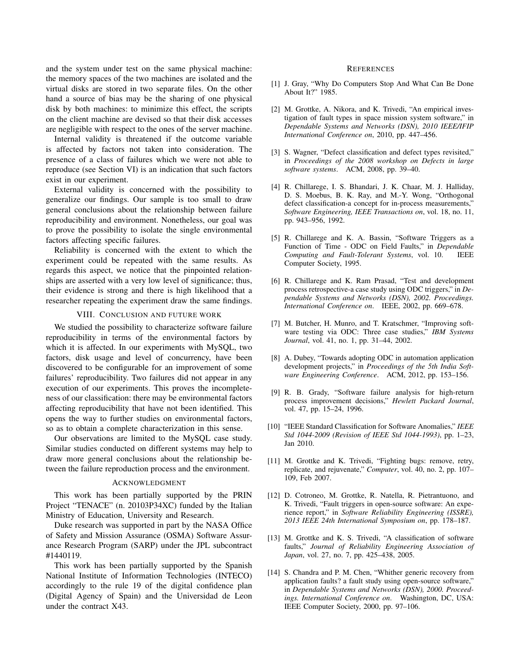and the system under test on the same physical machine: the memory spaces of the two machines are isolated and the virtual disks are stored in two separate files. On the other hand a source of bias may be the sharing of one physical disk by both machines: to minimize this effect, the scripts on the client machine are devised so that their disk accesses are negligible with respect to the ones of the server machine.

Internal validity is threatened if the outcome variable is affected by factors not taken into consideration. The presence of a class of failures which we were not able to reproduce (see Section VI) is an indication that such factors exist in our experiment.

External validity is concerned with the possibility to generalize our findings. Our sample is too small to draw general conclusions about the relationship between failure reproducibility and environment. Nonetheless, our goal was to prove the possibility to isolate the single environmental factors affecting specific failures.

Reliability is concerned with the extent to which the experiment could be repeated with the same results. As regards this aspect, we notice that the pinpointed relationships are asserted with a very low level of significance; thus, their evidence is strong and there is high likelihood that a researcher repeating the experiment draw the same findings.

# VIII. CONCLUSION AND FUTURE WORK

We studied the possibility to characterize software failure reproducibility in terms of the environmental factors by which it is affected. In our experiments with MySQL, two factors, disk usage and level of concurrency, have been discovered to be configurable for an improvement of some failures' reproducibility. Two failures did not appear in any execution of our experiments. This proves the incompleteness of our classification: there may be environmental factors affecting reproducibility that have not been identified. This opens the way to further studies on environmental factors, so as to obtain a complete characterization in this sense.

Our observations are limited to the MySQL case study. Similar studies conducted on different systems may help to draw more general conclusions about the relationship between the failure reproduction process and the environment.

#### ACKNOWLEDGMENT

This work has been partially supported by the PRIN Project "TENACE" (n. 20103P34XC) funded by the Italian Ministry of Education, University and Research.

Duke research was supported in part by the NASA Office of Safety and Mission Assurance (OSMA) Software Assurance Research Program (SARP) under the JPL subcontract #1440119.

This work has been partially supported by the Spanish National Institute of Information Technologies (INTECO) accordingly to the rule 19 of the digital confidence plan (Digital Agency of Spain) and the Universidad de Leon under the contract X43.

#### **REFERENCES**

- [1] J. Gray, "Why Do Computers Stop And What Can Be Done About It?" 1985.
- [2] M. Grottke, A. Nikora, and K. Trivedi, "An empirical investigation of fault types in space mission system software," in *Dependable Systems and Networks (DSN), 2010 IEEE/IFIP International Conference on*, 2010, pp. 447–456.
- [3] S. Wagner, "Defect classification and defect types revisited," in *Proceedings of the 2008 workshop on Defects in large software systems*. ACM, 2008, pp. 39–40.
- [4] R. Chillarege, I. S. Bhandari, J. K. Chaar, M. J. Halliday, D. S. Moebus, B. K. Ray, and M.-Y. Wong, "Orthogonal defect classification-a concept for in-process measurements," *Software Engineering, IEEE Transactions on*, vol. 18, no. 11, pp. 943–956, 1992.
- [5] R. Chillarege and K. A. Bassin, "Software Triggers as a Function of Time - ODC on Field Faults," in *Dependable Computing and Fault-Tolerant Systems*, vol. 10. IEEE Computer Society, 1995.
- [6] R. Chillarege and K. Ram Prasad, "Test and development process retrospective-a case study using ODC triggers," in *Dependable Systems and Networks (DSN), 2002. Proceedings. International Conference on*. IEEE, 2002, pp. 669–678.
- [7] M. Butcher, H. Munro, and T. Kratschmer, "Improving software testing via ODC: Three case studies," *IBM Systems Journal*, vol. 41, no. 1, pp. 31–44, 2002.
- [8] A. Dubey, "Towards adopting ODC in automation application development projects," in *Proceedings of the 5th India Software Engineering Conference*. ACM, 2012, pp. 153–156.
- [9] R. B. Grady, "Software failure analysis for high-return process improvement decisions," *Hewlett Packard Journal*, vol. 47, pp. 15–24, 1996.
- [10] "IEEE Standard Classification for Software Anomalies," *IEEE Std 1044-2009 (Revision of IEEE Std 1044-1993)*, pp. 1–23, Jan 2010.
- [11] M. Grottke and K. Trivedi, "Fighting bugs: remove, retry, replicate, and rejuvenate," *Computer*, vol. 40, no. 2, pp. 107– 109, Feb 2007.
- [12] D. Cotroneo, M. Grottke, R. Natella, R. Pietrantuono, and K. Trivedi, "Fault triggers in open-source software: An experience report," in *Software Reliability Engineering (ISSRE), 2013 IEEE 24th International Symposium on*, pp. 178–187.
- [13] M. Grottke and K. S. Trivedi, "A classification of software faults," *Journal of Reliability Engineering Association of Japan*, vol. 27, no. 7, pp. 425–438, 2005.
- [14] S. Chandra and P. M. Chen, "Whither generic recovery from application faults? a fault study using open-source software," in *Dependable Systems and Networks (DSN), 2000. Proceedings. International Conference on*. Washington, DC, USA: IEEE Computer Society, 2000, pp. 97–106.